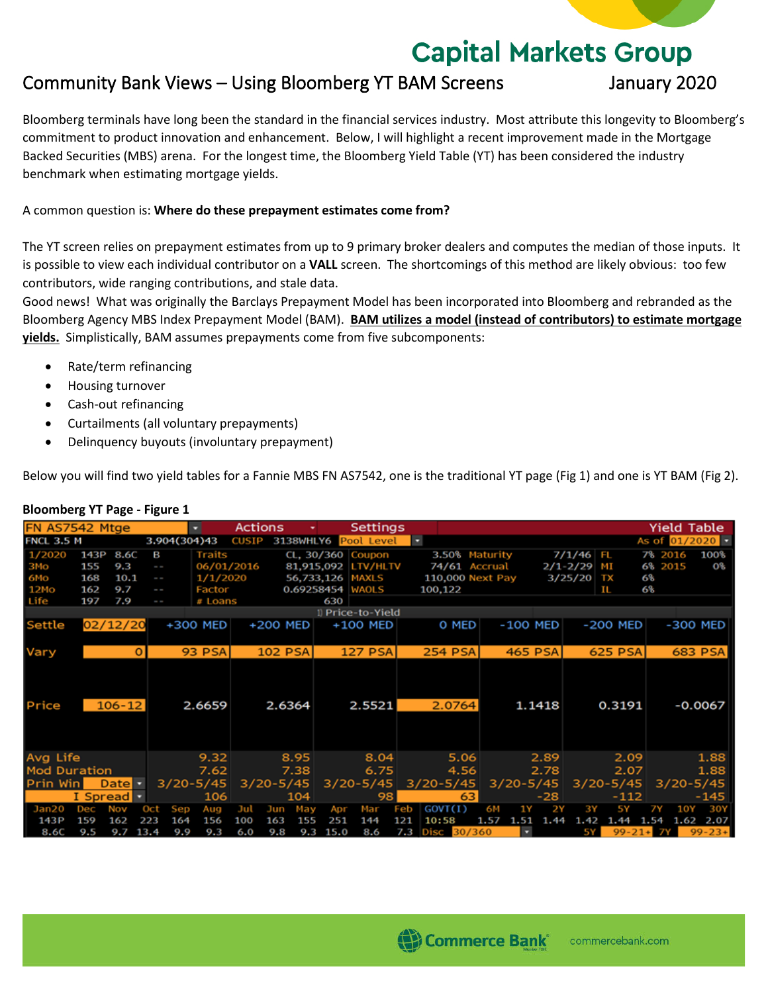# **Capital Markets Group**

## Community Bank Views – Using Bloomberg YT BAM Screens January 2020

Bloomberg terminals have long been the standard in the financial services industry. Most attribute this longevity to Bloomberg's commitment to product innovation and enhancement. Below, I will highlight a recent improvement made in the Mortgage Backed Securities (MBS) arena. For the longest time, the Bloomberg Yield Table (YT) has been considered the industry benchmark when estimating mortgage yields.

### A common question is: **Where do these prepayment estimates come from?**

The YT screen relies on prepayment estimates from up to 9 primary broker dealers and computes the median of those inputs. It is possible to view each individual contributor on a **VALL** screen. The shortcomings of this method are likely obvious: too few contributors, wide ranging contributions, and stale data.

Good news! What was originally the Barclays Prepayment Model has been incorporated into Bloomberg and rebranded as the Bloomberg Agency MBS Index Prepayment Model (BAM). **BAM utilizes a model (instead of contributors) to estimate mortgage yields.** Simplistically, BAM assumes prepayments come from five subcomponents:

- Rate/term refinancing
- Housing turnover
- Cash-out refinancing
- Curtailments (all voluntary prepayments)
- Delinquency buyouts (involuntary prepayment)

Below you will find two yield tables for a Fannie MBS FN AS7542, one is the traditional YT page (Fig 1) and one is YT BAM (Fig 2).

| FN AS7542 Mtge      |                   |               |          |              | ۰.            | Actions      |                |      |      | Settings             |     |                |      |                  |                          |              |                |      | <b>Yield Table</b> |                                |
|---------------------|-------------------|---------------|----------|--------------|---------------|--------------|----------------|------|------|----------------------|-----|----------------|------|------------------|--------------------------|--------------|----------------|------|--------------------|--------------------------------|
| <b>FNCL 3.5 M</b>   |                   |               |          | 3.904(304)43 |               | <b>CUSIP</b> |                |      |      | 3138WHLY6 Pool Level | E   |                |      |                  |                          |              |                |      |                    | As of $01/2020$ $\blacksquare$ |
| 1/2020              | 143P              | 8.6C          | в        |              | <b>Traits</b> |              |                |      |      | CL, 30/360 Coupon    |     |                |      | 3.50% Maturity   |                          | $7/1/46$ FL  |                |      | 7% 2016            | 100%                           |
| ЗМо                 | 155               | 9.3           | $\sim$   |              | 06/01/2016    |              |                |      |      | 81,915,092 LTV/HLTV  |     | 74/61 Accrual  |      |                  |                          | $2/1 - 2/29$ | M <sub>I</sub> |      | 6% 2015            | OЗ                             |
| 6Mo                 | 168               | 10.1          | ı        |              | 1/1/2020      |              |                |      |      | 56,733,126 MAXLS     |     |                |      | 110,000 Next Pay |                          | 3/25/20      | TX             | 6%   |                    |                                |
| 12Mo                | 162               | 9.7           | $\sim$   |              | Factor        |              |                |      |      | 0.69258454 WAOLS     |     | 100,122        |      |                  |                          |              | IL             | 6%   |                    |                                |
| Life                | 197               | 7.9           | ı        |              | # Loans       |              |                |      | 630  |                      |     |                |      |                  |                          |              |                |      |                    |                                |
|                     |                   |               |          |              |               |              |                |      |      | 1) Price-to-Yield    |     |                |      |                  |                          |              |                |      |                    |                                |
| Settle              |                   | 02/12/20      |          |              | +300 MED      |              | +200 MED       |      |      | +100 MED             |     | O MED          |      |                  | -100 MED                 |              | -200 MED       |      |                    | -300 MED                       |
|                     |                   |               |          |              |               |              |                |      |      |                      |     |                |      |                  |                          |              |                |      |                    |                                |
| Vary                |                   |               | $\Omega$ |              | 93 PSAI       |              | <b>102 PSA</b> |      |      | <b>127 PSA</b>       |     | <b>254 PSA</b> |      |                  | <b>465 PSA</b>           |              | <b>625 PSA</b> |      |                    | <b>683 PSA</b>                 |
| Price               |                   | $106 - 12$    |          |              | 2.6659        |              | 2.6364         |      |      | 2.5521               |     | 2.0764         |      |                  | 1.1418                   |              | 0.3191         |      |                    | $-0.0067$                      |
|                     |                   |               |          |              |               |              |                |      |      |                      |     |                |      |                  |                          |              |                |      |                    |                                |
| Avg Life            |                   |               |          |              | 9.32          |              |                | 8.95 |      | 8.04                 |     |                | 5.06 |                  | 2.89                     |              | 2.09           |      |                    | 1.88                           |
| <b>Mod Duration</b> |                   |               |          |              | 7.62          |              |                | 7.38 |      | 6.75                 |     |                | 4.56 |                  | 2.78                     |              | 2.07           |      |                    | 1.88                           |
| Prin Win            |                   | Date <b>T</b> |          |              | $3/20 - 5/45$ |              | $3/20 - 5/45$  |      |      | $3/20 - 5/45$        |     | $3/20 - 5/45$  |      |                  | $3/20 - 5/45$            |              | $3/20 - 5/45$  |      | $3/20 - 5/45$      |                                |
|                     | I Spread <b>v</b> |               |          |              | 106           |              |                | 104  |      | 98                   |     |                | 63   |                  | $-28$                    |              | -112           |      |                    | -145                           |
| Jan20               | Dec               | Nov           | Oct      | Sep          | Aug           | Jul          | Jun            | May  | Apr  | Mar                  | Feb | GOVT(I)        |      | 6М               | 2Y<br>1 Y                | 3Y           | 5 Y            | 7Y   | 10Y                | 30Y                            |
| 143P                | 159               | 162           | 223      | 164          | 156           | 100          | 163            | 155  | 251  | 144                  | 121 | 10:58          |      | 1.57<br>-1.51    | 1.44                     | 1.42         | 1.44           | 1.54 | 1.62               | 2.07                           |
| 8.6C                | 9.5               | 9.7           | 13.4     | 9.9          | 9.3           | 6.0          | 9.8            | 9.3  | 15.0 | 8.6                  | 7.3 | Disc 30/360    |      |                  | $\overline{\phantom{a}}$ | 5Y I         | $99 - 21 + 7Y$ |      |                    | $99 - 23 +$                    |

#### **Bloomberg YT Page - Figure 1**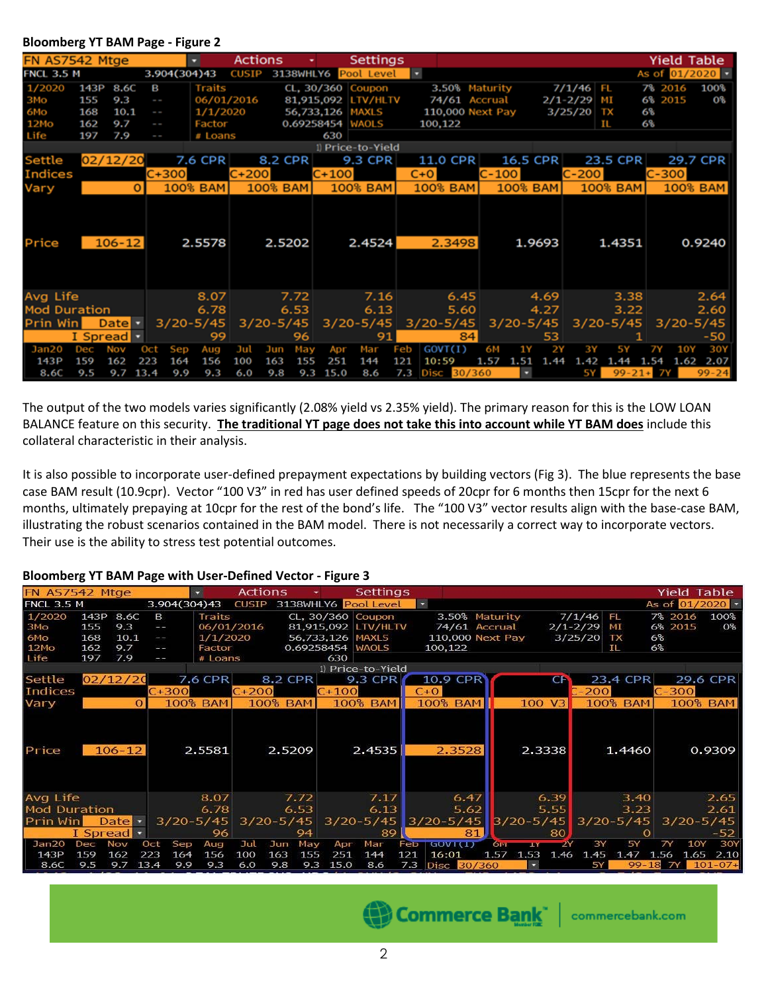| FN AS7542 Mtge      |                   |            |      |                          |               | <b>Actions</b> |               |     |         | Settings             |     |                  |    |               |        |              |                |         |     | Yield Table             |
|---------------------|-------------------|------------|------|--------------------------|---------------|----------------|---------------|-----|---------|----------------------|-----|------------------|----|---------------|--------|--------------|----------------|---------|-----|-------------------------|
| <b>FNCL 3.5 M</b>   |                   |            |      | 3.904(304)43             |               | <b>CUSIP</b>   |               |     |         | 3138WHLY6 Pool Level | −   |                  |    |               |        |              |                |         |     | As of $01/2020$ $\cdot$ |
| 1/2020              | 143P              | 8.6C       | в    |                          | <b>Traits</b> |                |               |     |         | CL, 30/360 Coupon    |     | 3.50% Maturity   |    |               |        | 7/1/46       | F. L           | 7% 2016 |     | 100%                    |
| змо                 | 155               | 9.3        |      | $\sim$                   | 06/01/2016    |                |               |     |         | 81,915,092 LTV/HLTV  |     | 74/61 Accrual    |    |               |        | $2/1 - 2/29$ | MT             | 6% 2015 |     | O%                      |
| 6Mo                 | 168               | 10.1       |      | $\overline{\phantom{a}}$ | 1/1/2020      |                |               |     |         | 56,733,126 MAXLS     |     | 110,000 Next Pay |    |               |        | 3/25/20      | ТX             | 6%      |     |                         |
| 12Mo                | 162               | 9.7        |      | ı                        | Factor        |                |               |     |         | 0.69258454 WAOLS     |     | 100,122          |    |               |        |              | п              | 6%      |     |                         |
| Life                | 197               | 7.9        |      | ŀ                        | # Loans       |                |               |     | 630     |                      |     |                  |    |               |        |              |                |         |     |                         |
|                     |                   |            |      |                          |               |                |               |     |         | 1) Price-to-Yield    |     |                  |    |               |        |              |                |         |     |                         |
| Settle              | 02/12/20          |            |      |                          | 7.6 CPR       |                | 8.2 CPR       |     |         | 9.3 CPR              |     | 11.0 CPR         |    | 16.5 CPR      |        |              | 23.5 CPR       |         |     | 29.7 CPR                |
| <b>Indices</b>      |                   |            |      | $C + 300$                |               | $C + 200$      |               |     | $C+100$ |                      |     | $C + O$          |    | C-100         |        | $C-200$      |                | C-300   |     |                         |
| Vary                |                   |            |      |                          | 100% BAM      |                | 100% BAM      |     |         | 100% BAM             |     | 100% BAM         |    | 100% BAM      |        |              | 100% BAM       |         |     | 100% BAM                |
|                     |                   |            |      |                          |               |                |               |     |         |                      |     |                  |    |               |        |              |                |         |     |                         |
| Price               |                   | $106 - 12$ |      |                          | 2.5578        |                | 2.5202        |     |         | 2.4524               |     | 2.3498           |    |               | 1.9693 |              | 1.4351         |         |     | 0.9240                  |
| Avg Life            |                   |            |      |                          | 8.07          |                | 7.72          |     |         | 7.16                 |     | 6.45             |    |               | 4.69   |              | 3.38           |         |     | 2.64                    |
| <b>Mod Duration</b> |                   |            |      |                          | 6.78          |                | 6.53          |     |         | 6.13                 |     | 5.60             |    |               | 4.27   |              | 3.22           |         |     | 2.60                    |
| Prin Win            |                   | Date -     |      | $3/20 - 5/45$            |               |                | $3/20 - 5/45$ |     |         | $3/20 - 5/45$        |     | $3/20 - 5/45$    |    | $3/20 - 5/45$ |        |              | $3/20 - 5/45$  |         |     | $3/20 - 5/45$           |
|                     | I Spread <b>T</b> |            |      |                          | 99            |                |               | 96  |         | 91                   |     |                  | 84 |               | 53     |              |                |         |     | -50                     |
| Jan20               | Dec               | Nov        | Oct  | Sep                      | Aug           | Jul            | Jun           | May | Apr     | Mar                  | Feb | GOVT(1)          |    | 6M            | 2Υ     | З¥           | 5 Y            |         | 10Y | 30Y                     |
| 143P                | 159               | 162        | 223  | 164                      | 156           | 100            | 163           | 155 | 251     | 144                  | 121 | 10:59            |    | 1.57<br>1.51  | 1.44   | 1.42         | 1.44           | 1.54    |     | 1.62 2.07               |
| 8.6C                | 9.5               | 9.7        | 13.4 | 9.9                      | 9.3           | 6.0            | 9.8           | 9.3 | 15.0    | 8.6                  | 7.3 | Disc 30/360      |    | ٠             |        | 5Y           | $99 - 21 + 7Y$ |         |     | $99 - 24$               |

**Bloomberg YT BAM Page - Figure 2**

The output of the two models varies significantly (2.08% yield vs 2.35% yield). The primary reason for this is the LOW LOAN BALANCE feature on this security. **The traditional YT page does not take this into account while YT BAM does** include this collateral characteristic in their analysis.

It is also possible to incorporate user-defined prepayment expectations by building vectors (Fig 3). The blue represents the base case BAM result (10.9cpr). Vector "100 V3" in red has user defined speeds of 20cpr for 6 months then 15cpr for the next 6 months, ultimately prepaying at 10cpr for the rest of the bond's life. The "100 V3" vector results align with the base-case BAM, illustrating the robust scenarios contained in the BAM model. There is not necessarily a correct way to incorporate vectors. Their use is the ability to stress test potential outcomes.

#### **Bloomberg YT BAM Page with User-Defined Vector - Figure 3**

| FN AS7542 Mtge      |      |                   |                                          | ≂             | <b>Actions</b> |                 |      |           | Settings             |              |                         |      |                          |           |              |                 | <b>Yield Table</b> |                |
|---------------------|------|-------------------|------------------------------------------|---------------|----------------|-----------------|------|-----------|----------------------|--------------|-------------------------|------|--------------------------|-----------|--------------|-----------------|--------------------|----------------|
| <b>FNCL 3.5 M</b>   |      |                   | 3.904(304)43                             |               | <b>CUSTP</b>   |                 |      |           | 3138WHLY6 Pool Level | $\mathbf{r}$ |                         |      |                          |           |              |                 | As of 01/2020      |                |
| 1/2020              | 143P | 8.6C              | B                                        | Traits        |                |                 |      |           | CL, 30/360 Coupon    |              | 3.50% Maturity          |      |                          |           | 7/1/46       | FL              | 7% 2016            | 100%           |
| 3M <sub>O</sub>     | 155  | 9.3               | $-1$                                     |               | 06/01/2016     |                 |      |           | 81,915,092 LTV/HLTV  |              | 74/61 Accrual           |      |                          |           | $2/1 - 2/29$ | MI              | 6% 2015            | 0 <sup>8</sup> |
| 6Mo                 | 168  | 10.1              | ł                                        | 1/1/2020      |                |                 |      |           | 56,733,126 MAXLS     |              | 110,000 Next Pay        |      |                          |           | 3/25/20      | TX              | 6%                 |                |
| 12M <sub>O</sub>    | 162  | 9.7               | $\frac{1}{2} \left( \frac{1}{2} \right)$ | Factor        |                |                 |      |           | 0.69258454 WAOLS     |              | 100,122                 |      |                          |           |              | ΙL              | 6%                 |                |
| Life                | 197  | 7.9               | $-1$                                     | # Loans       |                |                 |      | 630       |                      |              |                         |      |                          |           |              |                 |                    |                |
| 1) Price-to-Yield   |      |                   |                                          |               |                |                 |      |           |                      |              |                         |      |                          |           |              |                 |                    |                |
| Settle              |      | 02/12/20          |                                          | 7.6 CPR       |                | 8.2 CPR         |      |           | 9.3 CPR              |              | 10.9 CPR                |      |                          | <b>CH</b> |              | 23.4 CPR        |                    | 29.6 CPR       |
| Indices             |      |                   | $C + 300$                                |               | $C+200$        |                 |      | $C + 100$ |                      |              | $C+O$                   |      |                          |           | 200          |                 | $C-300$            |                |
| Vary                |      | О                 |                                          | 100% BAM      |                | <b>100% BAM</b> |      |           | <b>100% BAM</b>      |              | <b>100% BAM</b>         |      |                          | 100 V3    |              | <b>100% BAM</b> |                    | 100% BAM       |
| Price               |      | $106 - 12$        |                                          | 2.5581        |                | 2.5209          |      |           | 2.4535               |              | 2.3528                  |      |                          | 2.3338    |              | 1.4460          |                    | 0.9309         |
| Avg Life            |      |                   |                                          | 8.07          |                |                 | 7.72 |           | 7.17                 |              | 6.47                    |      |                          | 6.39      |              | 3.40            |                    | 2.65           |
| <b>Mod Duration</b> |      |                   |                                          | 6.78          |                |                 | 6.53 |           | 6.13                 |              |                         | 5.62 |                          | 5.55      |              | 3.23            |                    | 2.61           |
| <b>Prin Win</b>     |      | Date -            |                                          | $3/20 - 5/45$ | $3/20 - 5/45$  |                 |      |           |                      |              | $3/20 - 5/45$ 3/20-5/45 |      | $3/20 - 5/45$            |           |              | $3/20 - 5/45$   |                    | $3/20 - 5/45$  |
|                     |      | I Spread <b>v</b> |                                          | 96            |                |                 | 94   |           | 89                   |              |                         | 81   |                          | 80.       |              |                 |                    | $-52$          |
| Jan20<br>Dec        |      | Nov               | Sep<br><b>Oct</b>                        | Aug           | Jul            | Jun             | May  | Apr       | Mar                  | Feb          | <b>TGOVICD</b>          |      | бы                       |           | 3Y           | 5Y              | 10Y                | 30Y            |
| 143P<br>159         |      | 162               | 223<br>164                               | 156           | 100            | 163             | 155  | 251       | 144                  | 121          | 16:01                   |      | 1.57<br>1.53             | 1.46      | 1.45         | 1.47            | 1.65<br>1.56       | 2.10           |
| 8.6C                | 9.5  | 9.7               | 9.9<br>13.4                              | 9.3           | 6.0            | 9.8             | 9.3  | 15.0      | 8.6                  | 7.3          | Disc 30/360             |      | $\overline{\phantom{a}}$ |           | 5Y           | $99 - 18$       | $\mathcal{L}$      | $101 - 07 +$   |

Commerce Bank | commercebank.com